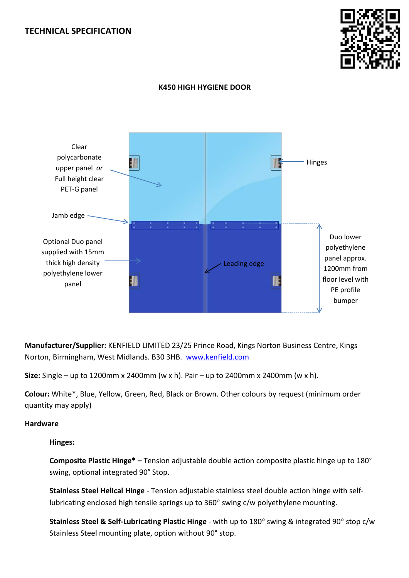# **TECHNICAL SPECIFICATION**



# **K450 HIGH HYGIENE DOOR**



**Manufacturer/Supplier:** KENFIELD LIMITED 23/25 Prince Road, Kings Norton Business Centre, Kings Norton, Birmingham, West Midlands. B30 3HB. [www.kenfield.com](http://www.kenfield.com/)

**Size:** Single – up to 1200mm x 2400mm (w x h). Pair – up to 2400mm x 2400mm (w x h).

**Colour:** White\*, Blue, Yellow, Green, Red, Black or Brown. Other colours by request (minimum order quantity may apply)

## **Hardware**

**Hinges:** 

**Composite Plastic Hinge\* –** Tension adjustable double action composite plastic hinge up to 180° swing, optional integrated 90° Stop.

**Stainless Steel Helical Hinge** - Tension adjustable stainless steel double action hinge with selflubricating enclosed high tensile springs up to 360° swing c/w polyethylene mounting.

**Stainless Steel & Self-Lubricating Plastic Hinge** - with up to 180° swing & integrated 90° stop c/w Stainless Steel mounting plate, option without 90° stop.